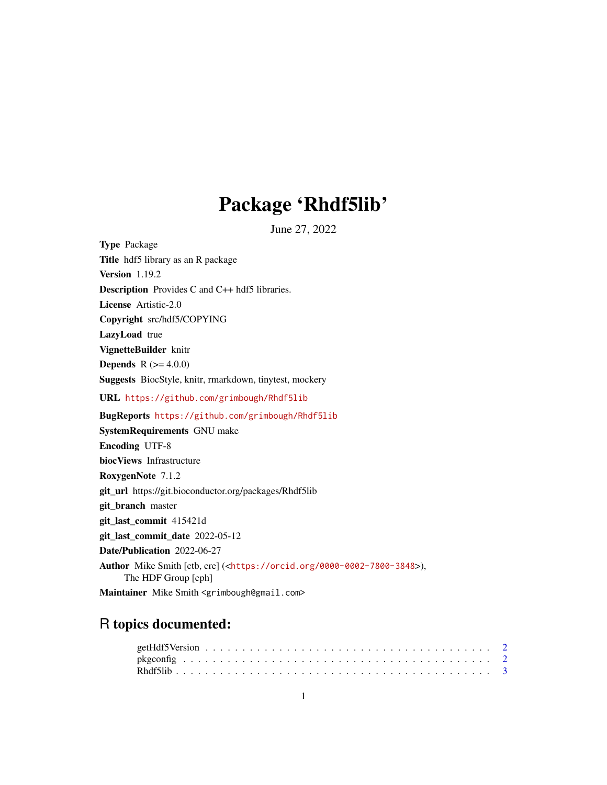## Package 'Rhdf5lib'

June 27, 2022

Type Package Title hdf5 library as an R package Version 1.19.2 Description Provides C and C++ hdf5 libraries. License Artistic-2.0 Copyright src/hdf5/COPYING LazyLoad true VignetteBuilder knitr **Depends** R  $(>= 4.0.0)$ Suggests BiocStyle, knitr, rmarkdown, tinytest, mockery URL <https://github.com/grimbough/Rhdf5lib> BugReports <https://github.com/grimbough/Rhdf5lib> SystemRequirements GNU make Encoding UTF-8 biocViews Infrastructure RoxygenNote 7.1.2 git\_url https://git.bioconductor.org/packages/Rhdf5lib git\_branch master git\_last\_commit 415421d git last commit date 2022-05-12 Date/Publication 2022-06-27 Author Mike Smith [ctb, cre] (<<https://orcid.org/0000-0002-7800-3848>>), The HDF Group [cph] Maintainer Mike Smith <grimbough@gmail.com>

### R topics documented: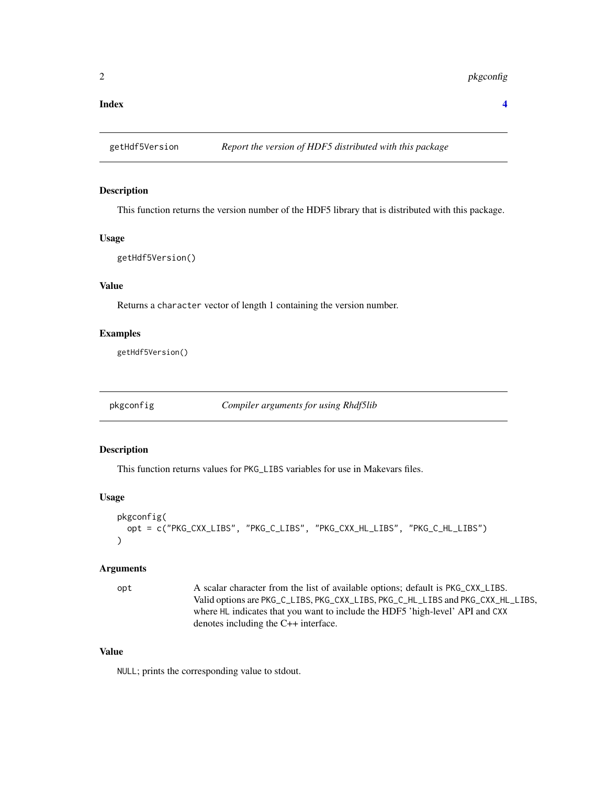<span id="page-1-0"></span>**Index** [4](#page-3-0)

#### Description

This function returns the version number of the HDF5 library that is distributed with this package.

#### Usage

```
getHdf5Version()
```
#### Value

Returns a character vector of length 1 containing the version number.

#### Examples

getHdf5Version()

pkgconfig *Compiler arguments for using Rhdf5lib*

#### Description

This function returns values for PKG\_LIBS variables for use in Makevars files.

#### Usage

```
pkgconfig(
  opt = c("PKG_CXX_LIBS", "PKG_C_LIBS", "PKG_CXX_HL_LIBS", "PKG_C_HL_LIBS")
)
```
#### Arguments

opt A scalar character from the list of available options; default is PKG\_CXX\_LIBS. Valid options are PKG\_C\_LIBS, PKG\_CXX\_LIBS, PKG\_C\_HL\_LIBS and PKG\_CXX\_HL\_LIBS, where HL indicates that you want to include the HDF5 'high-level' API and CXX denotes including the C++ interface.

#### Value

NULL; prints the corresponding value to stdout.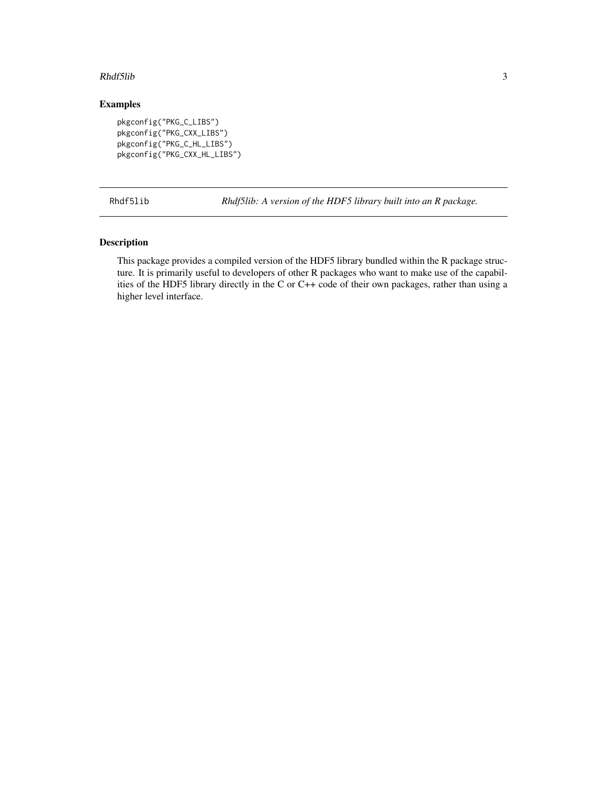#### <span id="page-2-0"></span>Rhdf5lib 3

#### Examples

```
pkgconfig("PKG_C_LIBS")
pkgconfig("PKG_CXX_LIBS")
pkgconfig("PKG_C_HL_LIBS")
pkgconfig("PKG_CXX_HL_LIBS")
```
Rhdf5lib *Rhdf5lib: A version of the HDF5 library built into an R package.*

#### Description

This package provides a compiled version of the HDF5 library bundled within the R package structure. It is primarily useful to developers of other R packages who want to make use of the capabilities of the HDF5 library directly in the C or C++ code of their own packages, rather than using a higher level interface.